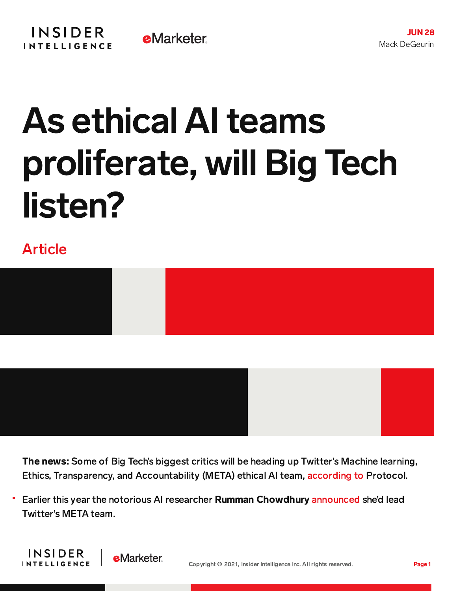## As ethical AI teams proliferate, will Big Tech listen?

## Article



The news: Some of Big Tech's biggest critics will be heading up Twitter's Machine learning, Ethics, Transparency, and Accountability (META) ethical AI team, [according](https://www.protocol.com/workplace/twitter-ethical-ai-meta) to Protocol.

Earlier this year the notorious AI researcher Rumman Chowdhury [announced](https://twitter.com/ruchowdh/status/1363902139630813185?lang=en) she'd lead Twitter's META team.

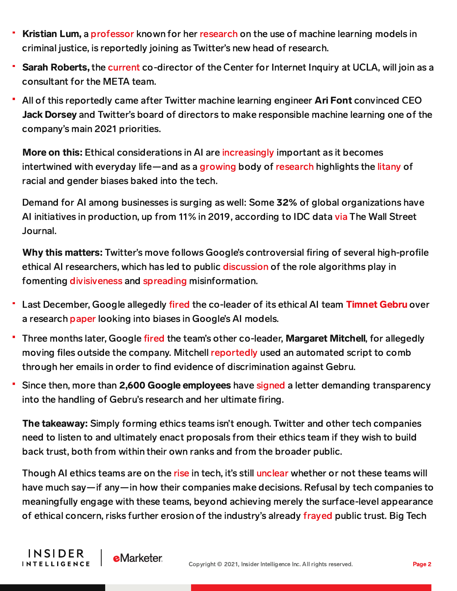- Kristian Lum, a [professor](https://ldi.upenn.edu/expert/kristian-lum-phd-msc) known for her [research](https://hrdag.org/people/kristian-lum-phd/) on the use of machine learning models in criminal justice, is reportedly joining as Twitter's new head of research.
- Sarah Roberts, the [current](https://www.c2i2.ucla.edu/people/) co-director of the Center for Internet Inquiry at UCLA, will join as a consultant for the META team.
- <sup>-</sup> All of this reportedly came after Twitter machine learning engineer Ari Font convinced CEO Jack Dorsey and Twitter's board of directors to make responsible machine learning one of the company's main 2021 priorities.

More on this: Ethical considerations in AI are [increasingly](https://news.harvard.edu/gazette/story/2020/10/ethical-concerns-mount-as-ai-takes-bigger-decision-making-role/) important as it becomes intertwined with everyday life—and as a [growing](https://www.nytimes.com/2019/11/19/technology/artificial-intelligence-bias.html) body of [research](https://news.mit.edu/2018/study-finds-gender-skin-type-bias-artificial-intelligence-systems-0212) highlights the [litany](https://nyupress.org/9781479837243/algorithms-of-oppression/) of racial and gender biases baked into the tech.

Demand for AI among businesses is surging as well: Some 32% of global organizations have AI initiatives in production, up from 11% in 2019, according to IDC data [via](https://www.wsj.com/articles/ai-ethics-teams-bulk-up-in-size-influence-at-tech-firms-11622113202) The Wall Street Journal.

Why this matters: Twitter's move follows Google's controversial firing of several high-profile ethical AI researchers, which has led to public [discussion](https://techcrunch.com/2021/04/26/senate-judiciary-tech-hearing-algorithms-twitter-youtube-facebook/) of the role algorithms play in fomenting [divisiveness](https://journals.plos.org/plosone/article?id=10.1371/journal.pone.0213246) and [spreading](https://www.scientificamerican.com/article/information-overload-helps-fake-news-spread-and-social-media-knows-it/) misinformation.

- Last December, Google allegedly [fired](https://www.nytimes.com/2020/12/03/technology/google-researcher-timnit-gebru.html) the co-leader of its ethical AI team [Timnet](https://www.wired.com/story/google-timnit-gebru-ai-what-really-happened/) Gebru over a research [paper](https://www.wired.com/story/behind-paper-led-google-researchers-firing/) looking into biases in Google's AI models.
- Three months later, Google [fired](https://www.bbc.com/news/technology-56135817) the team's other co-leader, Margaret Mitchell, for allegedly moving files outside the company. Mitchell [reportedly](https://www.theverge.com/2021/2/19/22292011/google-second-ethical-ai-researcher-fired) used an automated script to comb through her emails in order to find evidence of discrimination against Gebru.
- Since then, more than 2,600 Google employees have [signed](https://googlewalkout.medium.com/standing-with-dr-timnit-gebru-isupporttimnit-believeblackwomen-6dadc300d382) a letter demanding transparency into the handling of Gebru's research and her ultimate firing.

The takeaway: Simply forming ethics teams isn't enough. Twitter and other tech companies need to listen to and ultimately enact proposals from their ethics team if they wish to build back trust, both from within their own ranks and from the broader public.

Though AI ethics teams are on the [rise](https://www.wsj.com/articles/ai-ethics-teams-bulk-up-in-size-influence-at-tech-firms-11622113202) in tech, it's still [unclear](https://www.fastcompany.com/90608471/timnit-gebru-google-ai-ethics-equitable-tech-movement) whether or not these teams will have much say—if any—in how their companies make decisions. Refusal by tech companies to meaningfully engage with these teams, beyond achieving merely the surface-level appearance of ethical concern, risks further erosion of the industry's already [frayed](https://content-na1.emarketer.com/trust-tech-dropped-dramatically-this-year) public trust. Big Tech

**INSIDER** 

**INTELLIGENCE**